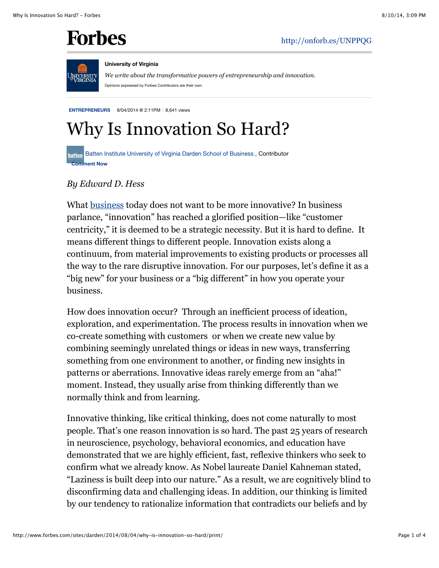## **Forbes**

<http://onforb.es/UNPPQG>



**[University of Virginia](http://www.forbes.com/sites/darden/)**

*We write about the transformative powers of entrepreneurship and innovation.* Opinions expressed by Forbes Contributors are their own.

**[ENTREPRENEURS](http://www.forbes.com/entrepreneurs)**  $8/04/2014 \text{ @ } 2:11 \text{PM}$  | 8,641 views

# Why Is Innovation So Hard?

**batten [Batten Institute University of Virginia Darden School of Business](http://blogs.forbes.com/people/darden/), Contributor [Comment Now](http://www.forbes.com/sites/darden/2014/08/04/why-is-innovation-so-hard/print/#comment_reply)**

### *By Edward D. Hess*

What [business](http://www.forbes.com/business/) today does not want to be more innovative? In business parlance, "innovation" has reached a glorified position—like "customer centricity," it is deemed to be a strategic necessity. But it is hard to define. It means different things to different people. Innovation exists along a continuum, from material improvements to existing products or processes all the way to the rare disruptive innovation. For our purposes, let's define it as a "big new" for your business or a "big different" in how you operate your business.

How does innovation occur? Through an inefficient process of ideation, exploration, and experimentation. The process results in innovation when we co-create something with customers or when we create new value by combining seemingly unrelated things or ideas in new ways, transferring something from one environment to another, or finding new insights in patterns or aberrations. Innovative ideas rarely emerge from an "aha!" moment. Instead, they usually arise from thinking differently than we normally think and from learning.

Innovative thinking, like critical thinking, does not come naturally to most people. That's one reason innovation is so hard. The past 25 years of research in neuroscience, psychology, behavioral economics, and education have demonstrated that we are highly efficient, fast, reflexive thinkers who seek to confirm what we already know. As Nobel laureate Daniel Kahneman stated, "Laziness is built deep into our nature." As a result, we are cognitively blind to disconfirming data and challenging ideas. In addition, our thinking is limited by our tendency to rationalize information that contradicts our beliefs and by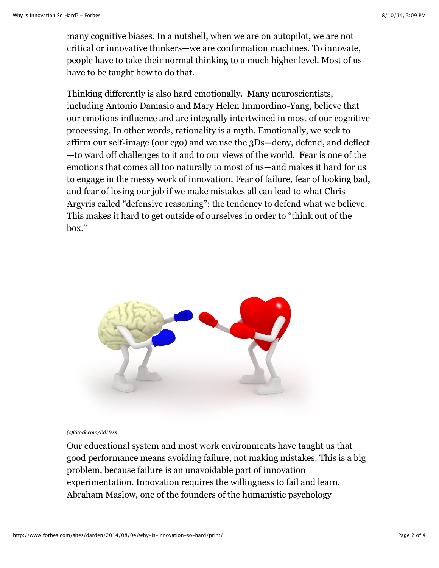many cognitive biases. In a nutshell, when we are on autopilot, we are not critical or innovative thinkers—we are confirmation machines. To innovate, people have to take their normal thinking to a much higher level. Most of us have to be taught how to do that.

Thinking differently is also hard emotionally. Many neuroscientists, including Antonio Damasio and Mary Helen Immordino-Yang, believe that our emotions influence and are integrally intertwined in most of our cognitive processing. In other words, rationality is a myth. Emotionally, we seek to affirm our self-image (our ego) and we use the 3Ds—deny, defend, and deflect —to ward off challenges to it and to our views of the world. Fear is one of the emotions that comes all too naturally to most of us—and makes it hard for us to engage in the messy work of innovation. Fear of failure, fear of looking bad, and fear of losing our job if we make mistakes all can lead to what Chris Argyris called "defensive reasoning": the tendency to defend what we believe. This makes it hard to get outside of ourselves in order to "think out of the box."



#### *(c)iStock.com/EdHess*

Our educational system and most work environments have taught us that good performance means avoiding failure, not making mistakes. This is a big problem, because failure is an unavoidable part of innovation experimentation. Innovation requires the willingness to fail and learn. Abraham Maslow, one of the founders of the humanistic psychology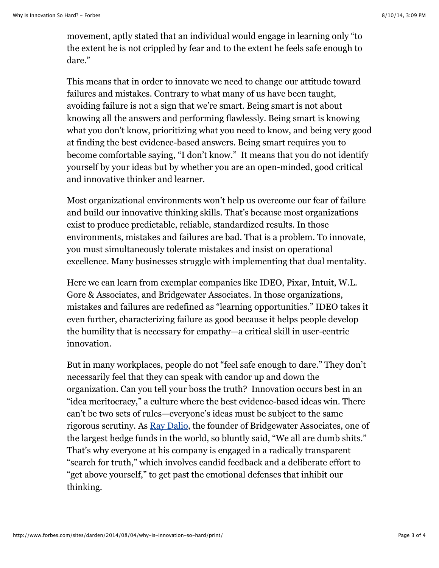movement, aptly stated that an individual would engage in learning only "to the extent he is not crippled by fear and to the extent he feels safe enough to dare."

This means that in order to innovate we need to change our attitude toward failures and mistakes. Contrary to what many of us have been taught, avoiding failure is not a sign that we're smart. Being smart is not about knowing all the answers and performing flawlessly. Being smart is knowing what you don't know, prioritizing what you need to know, and being very good at finding the best evidence-based answers. Being smart requires you to become comfortable saying, "I don't know." It means that you do not identify yourself by your ideas but by whether you are an open-minded, good critical and innovative thinker and learner.

Most organizational environments won't help us overcome our fear of failure and build our innovative thinking skills. That's because most organizations exist to produce predictable, reliable, standardized results. In those environments, mistakes and failures are bad. That is a problem. To innovate, you must simultaneously tolerate mistakes and insist on operational excellence. Many businesses struggle with implementing that dual mentality.

Here we can learn from exemplar companies like IDEO, Pixar, Intuit, W.L. Gore & Associates, and Bridgewater Associates. In those organizations, mistakes and failures are redefined as "learning opportunities." IDEO takes it even further, characterizing failure as good because it helps people develop the humility that is necessary for empathy—a critical skill in user-centric innovation.

But in many workplaces, people do not "feel safe enough to dare." They don't necessarily feel that they can speak with candor up and down the organization. Can you tell your boss the truth? Innovation occurs best in an "idea meritocracy," a culture where the best evidence-based ideas win. There can't be two sets of rules—everyone's ideas must be subject to the same rigorous scrutiny. As [Ray Dalio,](http://www.forbes.com/profile/ray-dalio/) the founder of Bridgewater Associates, one of the largest hedge funds in the world, so bluntly said, "We all are dumb shits." That's why everyone at his company is engaged in a radically transparent "search for truth," which involves candid feedback and a deliberate effort to "get above yourself," to get past the emotional defenses that inhibit our thinking.